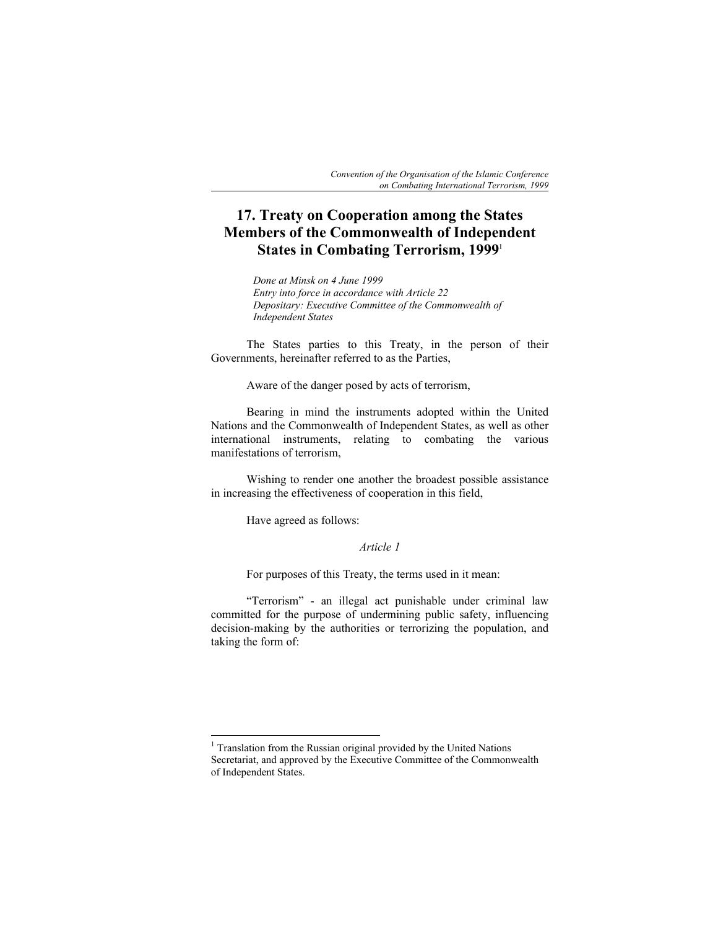*Convention of the Organisation of the Islamic Conference on Combating International Terrorism, 1999*

# **17. Treaty on Cooperation among the States Members of the Commonwealth of Independent States in Combating Terrorism, 1999**[1](#page-0-0)

*Done at Minsk on 4 June 1999 Entry into force in accordance with Article 22 Depositary: Executive Committee of the Commonwealth of Independent States*

The States parties to this Treaty, in the person of their Governments, hereinafter referred to as the Parties,

Aware of the danger posed by acts of terrorism,

Bearing in mind the instruments adopted within the United Nations and the Commonwealth of Independent States, as well as other international instruments, relating to combating the various manifestations of terrorism,

Wishing to render one another the broadest possible assistance in increasing the effectiveness of cooperation in this field,

Have agreed as follows:

 $\overline{\phantom{a}}$ 

*Article 1*

For purposes of this Treaty, the terms used in it mean:

"Terrorism" - an illegal act punishable under criminal law committed for the purpose of undermining public safety, influencing decision-making by the authorities or terrorizing the population, and taking the form of:

<span id="page-0-0"></span><sup>&</sup>lt;sup>1</sup> Translation from the Russian original provided by the United Nations Secretariat, and approved by the Executive Committee of the Commonwealth of Independent States.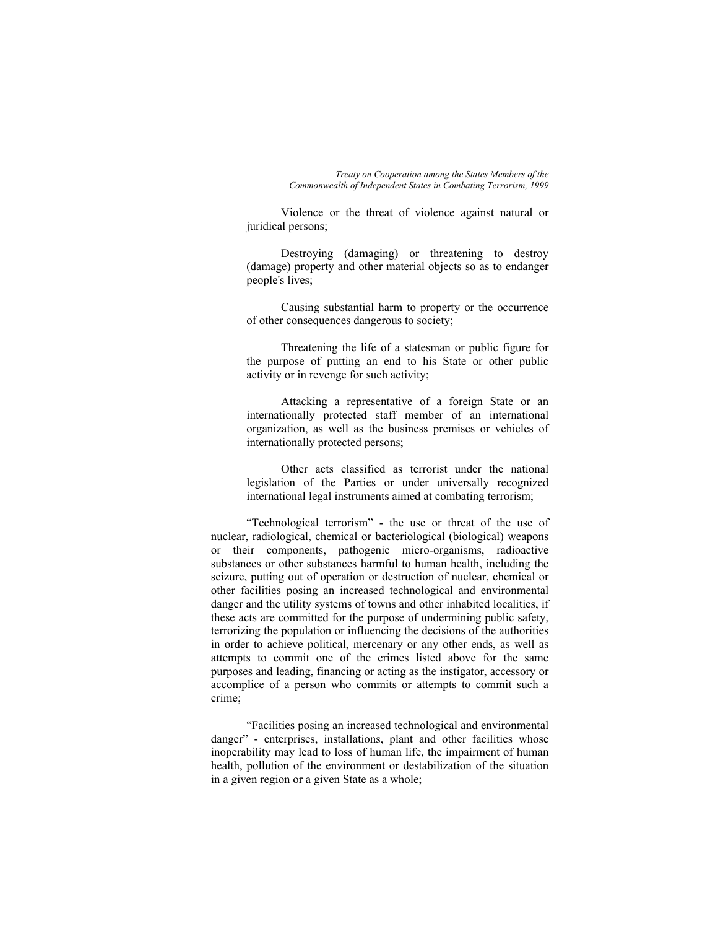Violence or the threat of violence against natural or juridical persons;

Destroying (damaging) or threatening to destroy (damage) property and other material objects so as to endanger people's lives;

Causing substantial harm to property or the occurrence of other consequences dangerous to society;

Threatening the life of a statesman or public figure for the purpose of putting an end to his State or other public activity or in revenge for such activity;

Attacking a representative of a foreign State or an internationally protected staff member of an international organization, as well as the business premises or vehicles of internationally protected persons;

Other acts classified as terrorist under the national legislation of the Parties or under universally recognized international legal instruments aimed at combating terrorism;

"Technological terrorism" - the use or threat of the use of nuclear, radiological, chemical or bacteriological (biological) weapons or their components, pathogenic micro-organisms, radioactive substances or other substances harmful to human health, including the seizure, putting out of operation or destruction of nuclear, chemical or other facilities posing an increased technological and environmental danger and the utility systems of towns and other inhabited localities, if these acts are committed for the purpose of undermining public safety, terrorizing the population or influencing the decisions of the authorities in order to achieve political, mercenary or any other ends, as well as attempts to commit one of the crimes listed above for the same purposes and leading, financing or acting as the instigator, accessory or accomplice of a person who commits or attempts to commit such a crime;

"Facilities posing an increased technological and environmental danger" - enterprises, installations, plant and other facilities whose inoperability may lead to loss of human life, the impairment of human health, pollution of the environment or destabilization of the situation in a given region or a given State as a whole;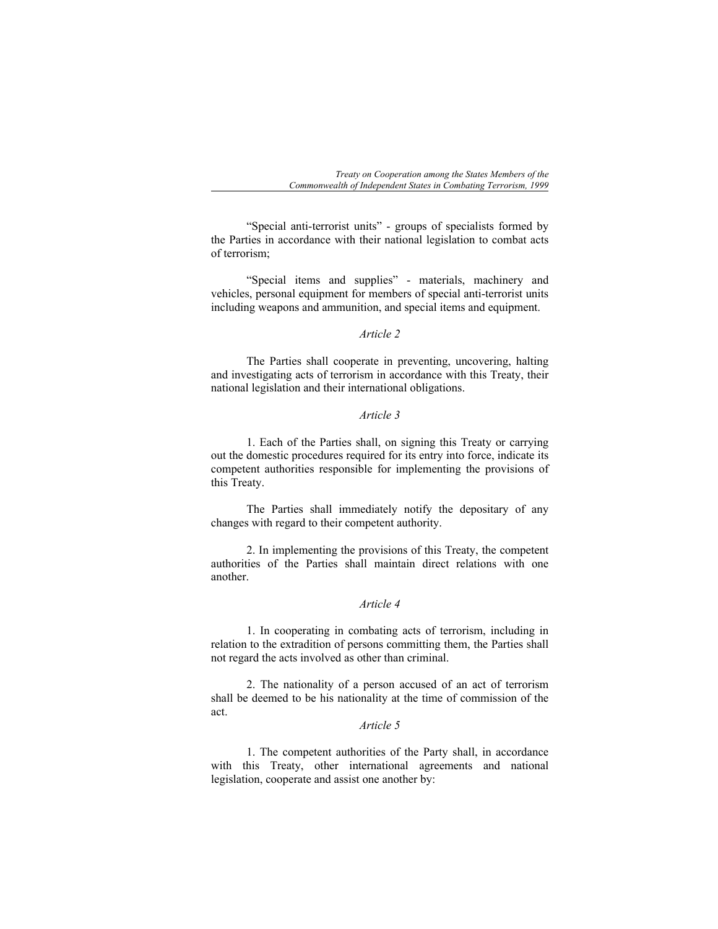"Special anti-terrorist units" - groups of specialists formed by the Parties in accordance with their national legislation to combat acts of terrorism;

"Special items and supplies" - materials, machinery and vehicles, personal equipment for members of special anti-terrorist units including weapons and ammunition, and special items and equipment.

#### *Article 2*

The Parties shall cooperate in preventing, uncovering, halting and investigating acts of terrorism in accordance with this Treaty, their national legislation and their international obligations.

### *Article 3*

1. Each of the Parties shall, on signing this Treaty or carrying out the domestic procedures required for its entry into force, indicate its competent authorities responsible for implementing the provisions of this Treaty.

The Parties shall immediately notify the depositary of any changes with regard to their competent authority.

2. In implementing the provisions of this Treaty, the competent authorities of the Parties shall maintain direct relations with one another.

### *Article 4*

1. In cooperating in combating acts of terrorism, including in relation to the extradition of persons committing them, the Parties shall not regard the acts involved as other than criminal.

2. The nationality of a person accused of an act of terrorism shall be deemed to be his nationality at the time of commission of the act.

### *Article 5*

1. The competent authorities of the Party shall, in accordance with this Treaty, other international agreements and national legislation, cooperate and assist one another by: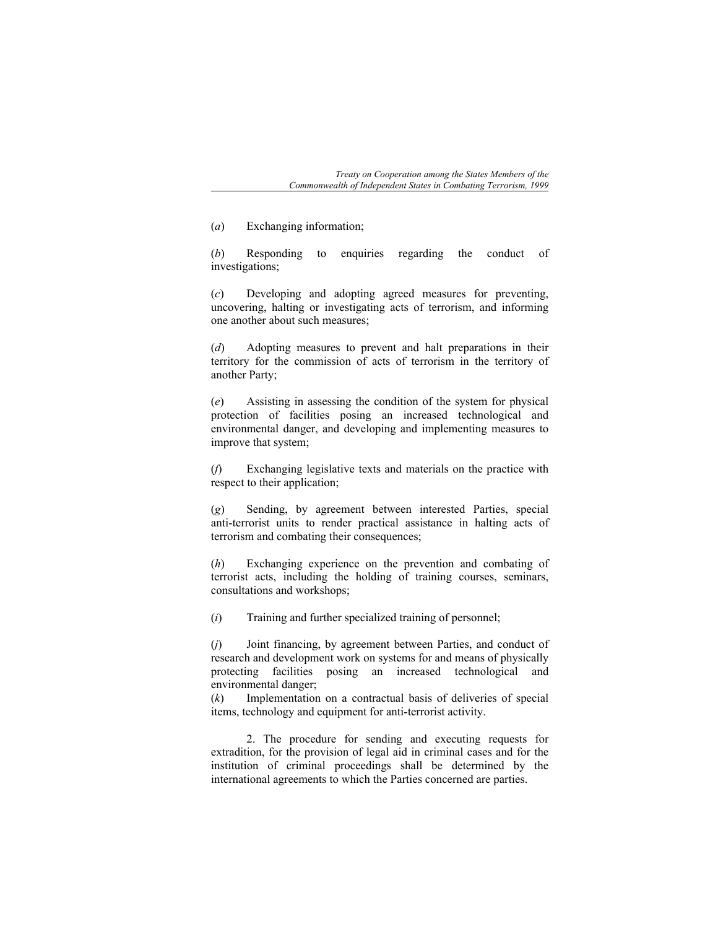(*a*) Exchanging information;

(*b*) Responding to enquiries regarding the conduct of investigations;

(*c*) Developing and adopting agreed measures for preventing, uncovering, halting or investigating acts of terrorism, and informing one another about such measures;

(*d*) Adopting measures to prevent and halt preparations in their territory for the commission of acts of terrorism in the territory of another Party;

(*e*) Assisting in assessing the condition of the system for physical protection of facilities posing an increased technological and environmental danger, and developing and implementing measures to improve that system;

(*f*) Exchanging legislative texts and materials on the practice with respect to their application;

(*g*) Sending, by agreement between interested Parties, special anti-terrorist units to render practical assistance in halting acts of terrorism and combating their consequences;

(*h*) Exchanging experience on the prevention and combating of terrorist acts, including the holding of training courses, seminars, consultations and workshops;

(*i*) Training and further specialized training of personnel;

(*j*) Joint financing, by agreement between Parties, and conduct of research and development work on systems for and means of physically protecting facilities posing an increased technological and environmental danger;

(*k*) Implementation on a contractual basis of deliveries of special items, technology and equipment for anti-terrorist activity.

2. The procedure for sending and executing requests for extradition, for the provision of legal aid in criminal cases and for the institution of criminal proceedings shall be determined by the international agreements to which the Parties concerned are parties.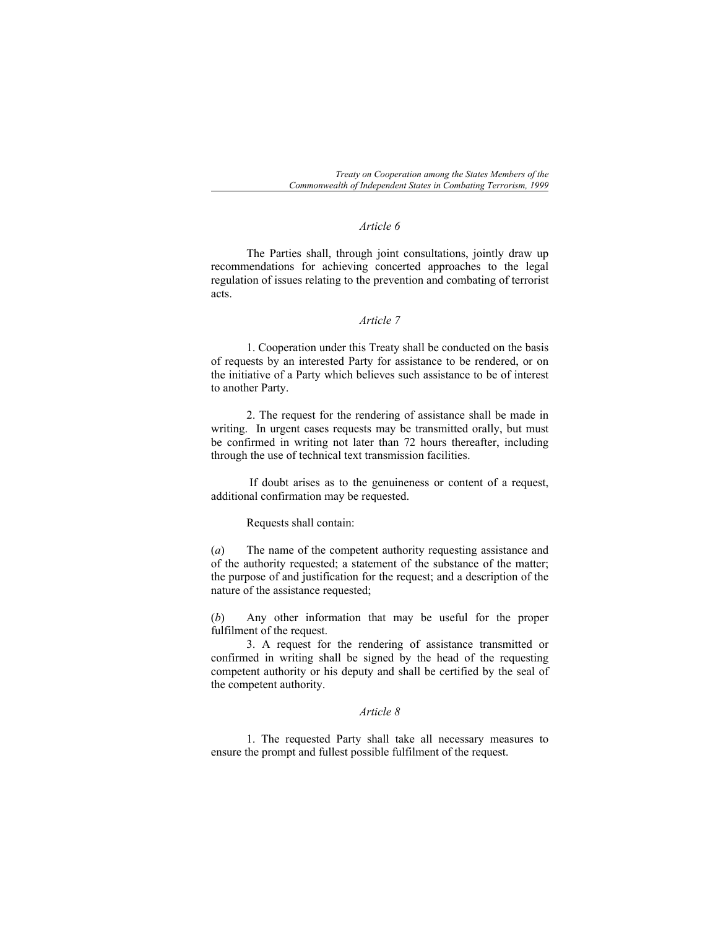### *Article 6*

The Parties shall, through joint consultations, jointly draw up recommendations for achieving concerted approaches to the legal regulation of issues relating to the prevention and combating of terrorist acts.

#### *Article 7*

1. Cooperation under this Treaty shall be conducted on the basis of requests by an interested Party for assistance to be rendered, or on the initiative of a Party which believes such assistance to be of interest to another Party.

2. The request for the rendering of assistance shall be made in writing. In urgent cases requests may be transmitted orally, but must be confirmed in writing not later than 72 hours thereafter, including through the use of technical text transmission facilities.

 If doubt arises as to the genuineness or content of a request, additional confirmation may be requested.

#### Requests shall contain:

(*a*) The name of the competent authority requesting assistance and of the authority requested; a statement of the substance of the matter; the purpose of and justification for the request; and a description of the nature of the assistance requested;

(*b*) Any other information that may be useful for the proper fulfilment of the request.

3. A request for the rendering of assistance transmitted or confirmed in writing shall be signed by the head of the requesting competent authority or his deputy and shall be certified by the seal of the competent authority.

### *Article 8*

1. The requested Party shall take all necessary measures to ensure the prompt and fullest possible fulfilment of the request.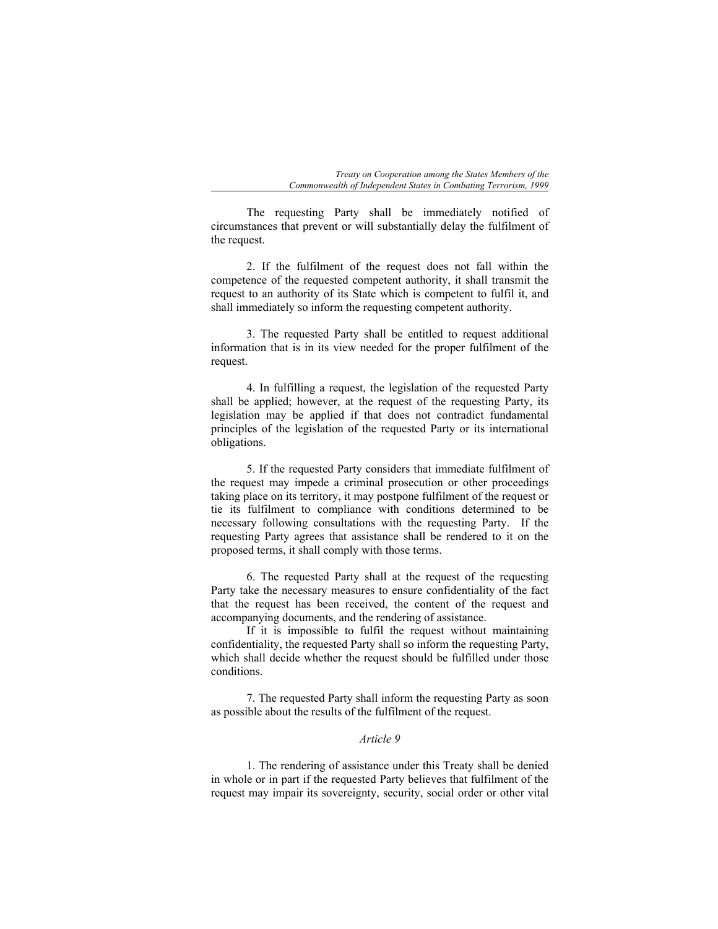The requesting Party shall be immediately notified of circumstances that prevent or will substantially delay the fulfilment of the request.

2. If the fulfilment of the request does not fall within the competence of the requested competent authority, it shall transmit the request to an authority of its State which is competent to fulfil it, and shall immediately so inform the requesting competent authority.

3. The requested Party shall be entitled to request additional information that is in its view needed for the proper fulfilment of the request.

4. In fulfilling a request, the legislation of the requested Party shall be applied; however, at the request of the requesting Party, its legislation may be applied if that does not contradict fundamental principles of the legislation of the requested Party or its international obligations.

5. If the requested Party considers that immediate fulfilment of the request may impede a criminal prosecution or other proceedings taking place on its territory, it may postpone fulfilment of the request or tie its fulfilment to compliance with conditions determined to be necessary following consultations with the requesting Party. If the requesting Party agrees that assistance shall be rendered to it on the proposed terms, it shall comply with those terms.

6. The requested Party shall at the request of the requesting Party take the necessary measures to ensure confidentiality of the fact that the request has been received, the content of the request and accompanying documents, and the rendering of assistance.

If it is impossible to fulfil the request without maintaining confidentiality, the requested Party shall so inform the requesting Party, which shall decide whether the request should be fulfilled under those conditions.

7. The requested Party shall inform the requesting Party as soon as possible about the results of the fulfilment of the request.

### *Article 9*

1. The rendering of assistance under this Treaty shall be denied in whole or in part if the requested Party believes that fulfilment of the request may impair its sovereignty, security, social order or other vital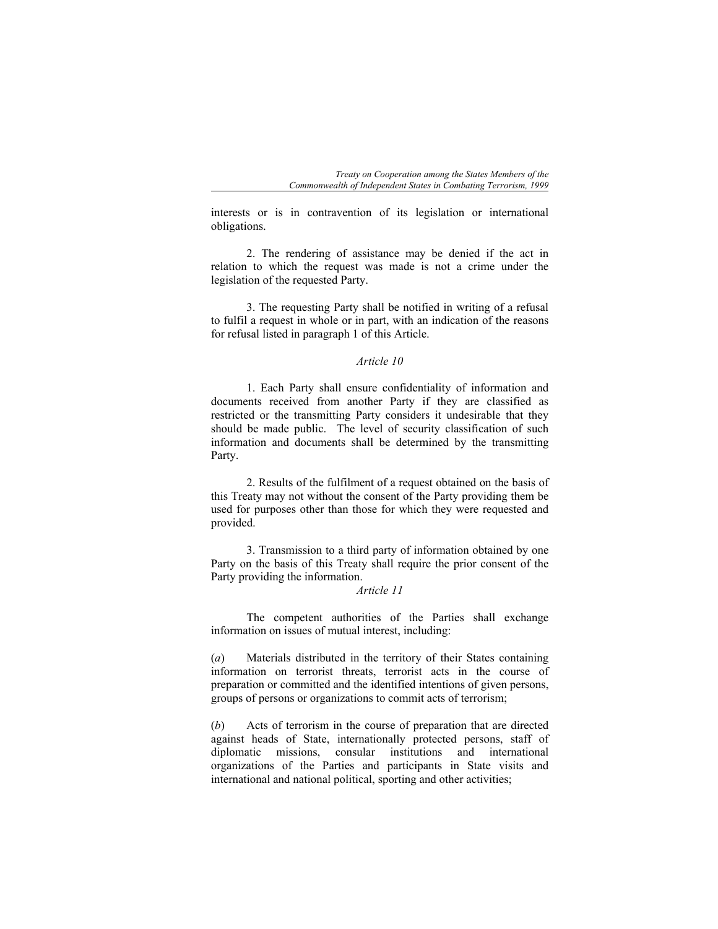interests or is in contravention of its legislation or international obligations.

2. The rendering of assistance may be denied if the act in relation to which the request was made is not a crime under the legislation of the requested Party.

3. The requesting Party shall be notified in writing of a refusal to fulfil a request in whole or in part, with an indication of the reasons for refusal listed in paragraph 1 of this Article.

### *Article 10*

1. Each Party shall ensure confidentiality of information and documents received from another Party if they are classified as restricted or the transmitting Party considers it undesirable that they should be made public. The level of security classification of such information and documents shall be determined by the transmitting Party.

2. Results of the fulfilment of a request obtained on the basis of this Treaty may not without the consent of the Party providing them be used for purposes other than those for which they were requested and provided.

3. Transmission to a third party of information obtained by one Party on the basis of this Treaty shall require the prior consent of the Party providing the information.

### *Article 11*

The competent authorities of the Parties shall exchange information on issues of mutual interest, including:

(*a*) Materials distributed in the territory of their States containing information on terrorist threats, terrorist acts in the course of preparation or committed and the identified intentions of given persons, groups of persons or organizations to commit acts of terrorism;

(*b*) Acts of terrorism in the course of preparation that are directed against heads of State, internationally protected persons, staff of diplomatic missions, consular institutions and international organizations of the Parties and participants in State visits and international and national political, sporting and other activities;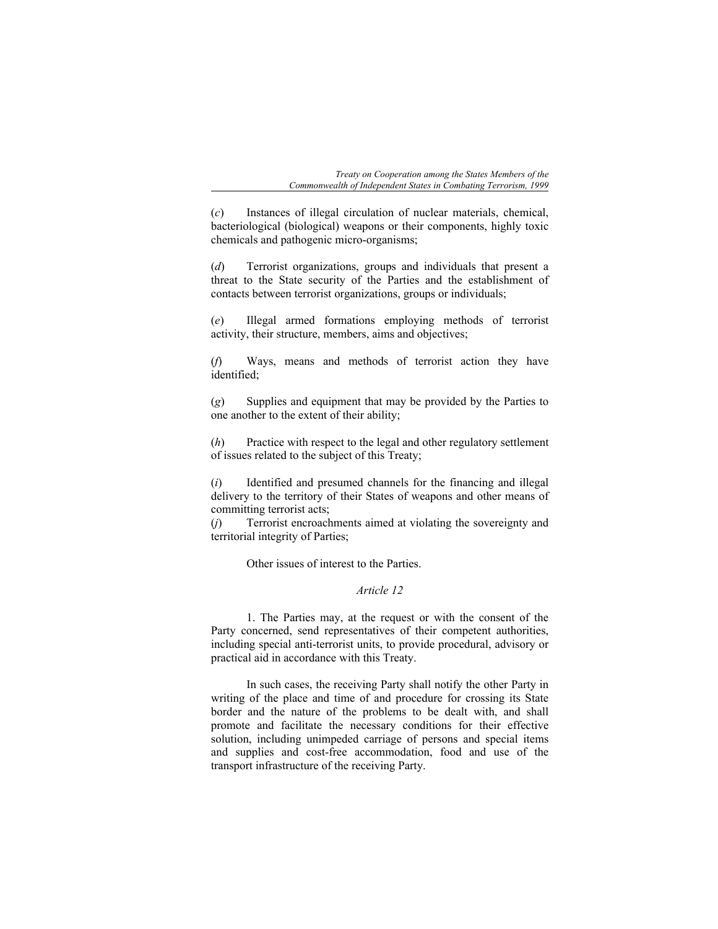(*c*) Instances of illegal circulation of nuclear materials, chemical, bacteriological (biological) weapons or their components, highly toxic chemicals and pathogenic micro-organisms;

(*d*) Terrorist organizations, groups and individuals that present a threat to the State security of the Parties and the establishment of contacts between terrorist organizations, groups or individuals;

(*e*) Illegal armed formations employing methods of terrorist activity, their structure, members, aims and objectives;

(*f*) Ways, means and methods of terrorist action they have identified;

(*g*) Supplies and equipment that may be provided by the Parties to one another to the extent of their ability;

(*h*) Practice with respect to the legal and other regulatory settlement of issues related to the subject of this Treaty;

(*i*) Identified and presumed channels for the financing and illegal delivery to the territory of their States of weapons and other means of committing terrorist acts;

(*j*) Terrorist encroachments aimed at violating the sovereignty and territorial integrity of Parties;

Other issues of interest to the Parties.

## *Article 12*

1. The Parties may, at the request or with the consent of the Party concerned, send representatives of their competent authorities, including special anti-terrorist units, to provide procedural, advisory or practical aid in accordance with this Treaty.

In such cases, the receiving Party shall notify the other Party in writing of the place and time of and procedure for crossing its State border and the nature of the problems to be dealt with, and shall promote and facilitate the necessary conditions for their effective solution, including unimpeded carriage of persons and special items and supplies and cost-free accommodation, food and use of the transport infrastructure of the receiving Party.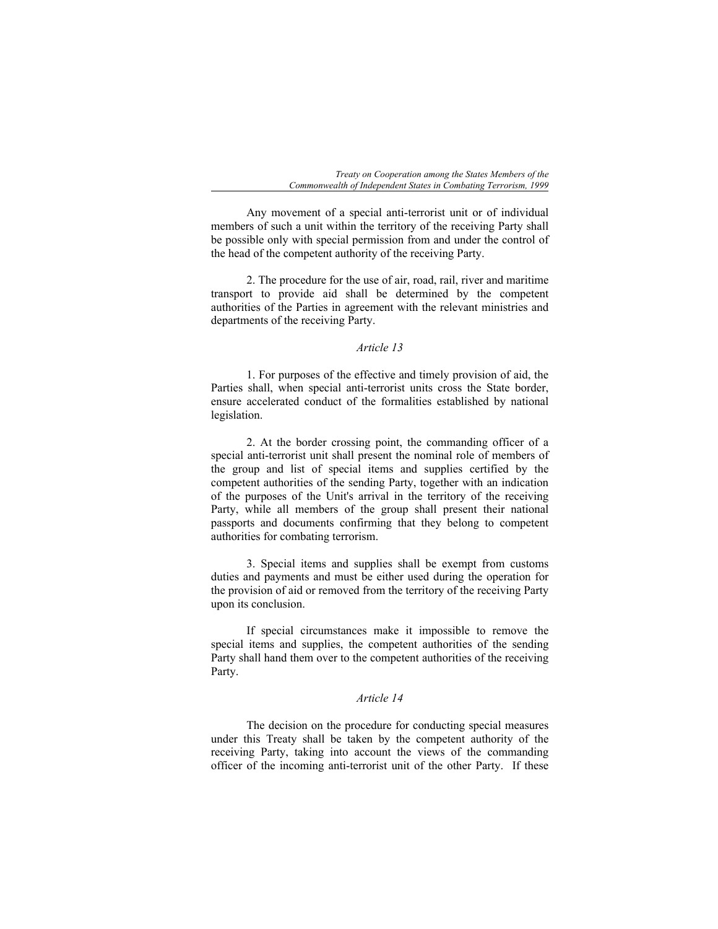Any movement of a special anti-terrorist unit or of individual members of such a unit within the territory of the receiving Party shall be possible only with special permission from and under the control of the head of the competent authority of the receiving Party.

2. The procedure for the use of air, road, rail, river and maritime transport to provide aid shall be determined by the competent authorities of the Parties in agreement with the relevant ministries and departments of the receiving Party.

### *Article 13*

1. For purposes of the effective and timely provision of aid, the Parties shall, when special anti-terrorist units cross the State border, ensure accelerated conduct of the formalities established by national legislation.

2. At the border crossing point, the commanding officer of a special anti-terrorist unit shall present the nominal role of members of the group and list of special items and supplies certified by the competent authorities of the sending Party, together with an indication of the purposes of the Unit's arrival in the territory of the receiving Party, while all members of the group shall present their national passports and documents confirming that they belong to competent authorities for combating terrorism.

3. Special items and supplies shall be exempt from customs duties and payments and must be either used during the operation for the provision of aid or removed from the territory of the receiving Party upon its conclusion.

If special circumstances make it impossible to remove the special items and supplies, the competent authorities of the sending Party shall hand them over to the competent authorities of the receiving Party.

# *Article 14*

The decision on the procedure for conducting special measures under this Treaty shall be taken by the competent authority of the receiving Party, taking into account the views of the commanding officer of the incoming anti-terrorist unit of the other Party. If these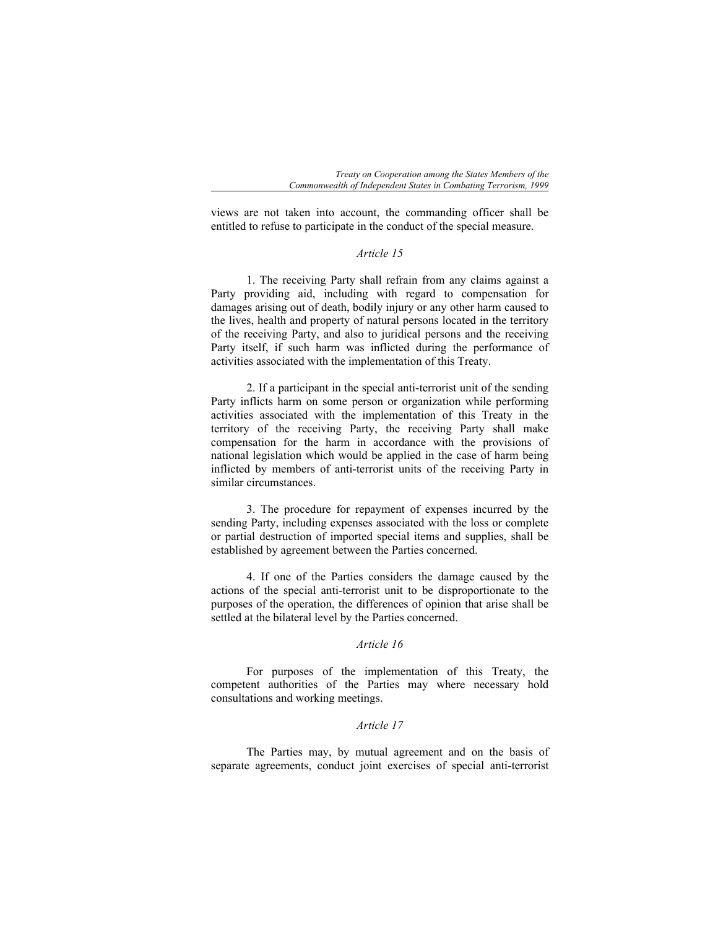views are not taken into account, the commanding officer shall be entitled to refuse to participate in the conduct of the special measure.

#### *Article 15*

1. The receiving Party shall refrain from any claims against a Party providing aid, including with regard to compensation for damages arising out of death, bodily injury or any other harm caused to the lives, health and property of natural persons located in the territory of the receiving Party, and also to juridical persons and the receiving Party itself, if such harm was inflicted during the performance of activities associated with the implementation of this Treaty.

2. If a participant in the special anti-terrorist unit of the sending Party inflicts harm on some person or organization while performing activities associated with the implementation of this Treaty in the territory of the receiving Party, the receiving Party shall make compensation for the harm in accordance with the provisions of national legislation which would be applied in the case of harm being inflicted by members of anti-terrorist units of the receiving Party in similar circumstances.

3. The procedure for repayment of expenses incurred by the sending Party, including expenses associated with the loss or complete or partial destruction of imported special items and supplies, shall be established by agreement between the Parties concerned.

4. If one of the Parties considers the damage caused by the actions of the special anti-terrorist unit to be disproportionate to the purposes of the operation, the differences of opinion that arise shall be settled at the bilateral level by the Parties concerned.

### *Article 16*

For purposes of the implementation of this Treaty, the competent authorities of the Parties may where necessary hold consultations and working meetings.

### *Article 17*

The Parties may, by mutual agreement and on the basis of separate agreements, conduct joint exercises of special anti-terrorist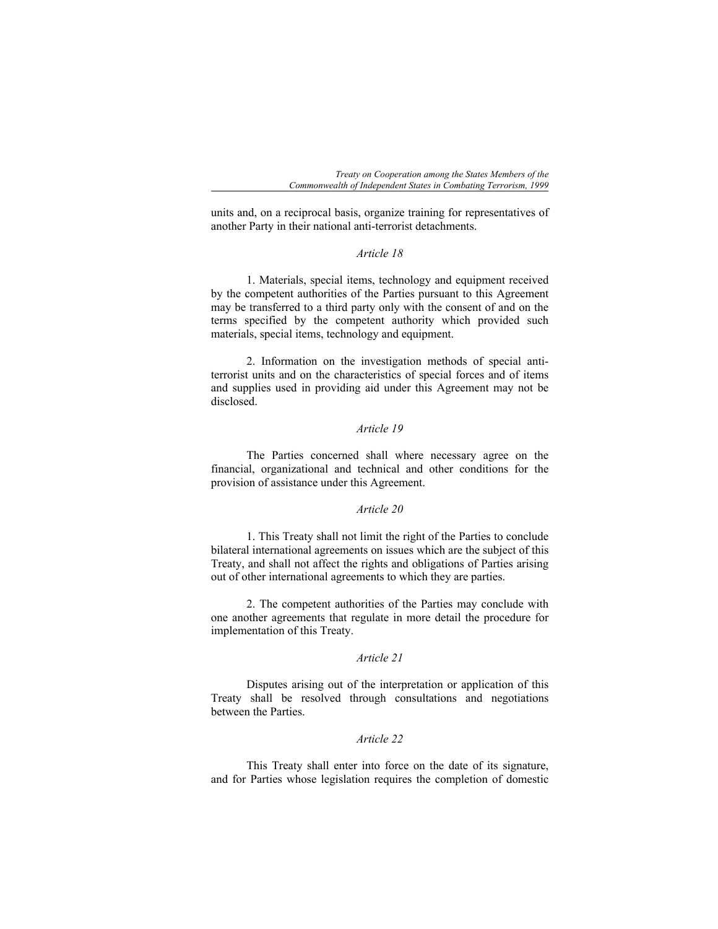units and, on a reciprocal basis, organize training for representatives of another Party in their national anti-terrorist detachments.

### *Article 18*

1. Materials, special items, technology and equipment received by the competent authorities of the Parties pursuant to this Agreement may be transferred to a third party only with the consent of and on the terms specified by the competent authority which provided such materials, special items, technology and equipment.

2. Information on the investigation methods of special antiterrorist units and on the characteristics of special forces and of items and supplies used in providing aid under this Agreement may not be disclosed.

# *Article 19*

The Parties concerned shall where necessary agree on the financial, organizational and technical and other conditions for the provision of assistance under this Agreement.

### *Article 20*

1. This Treaty shall not limit the right of the Parties to conclude bilateral international agreements on issues which are the subject of this Treaty, and shall not affect the rights and obligations of Parties arising out of other international agreements to which they are parties.

2. The competent authorities of the Parties may conclude with one another agreements that regulate in more detail the procedure for implementation of this Treaty.

### *Article 21*

Disputes arising out of the interpretation or application of this Treaty shall be resolved through consultations and negotiations between the Parties.

### *Article 22*

This Treaty shall enter into force on the date of its signature, and for Parties whose legislation requires the completion of domestic